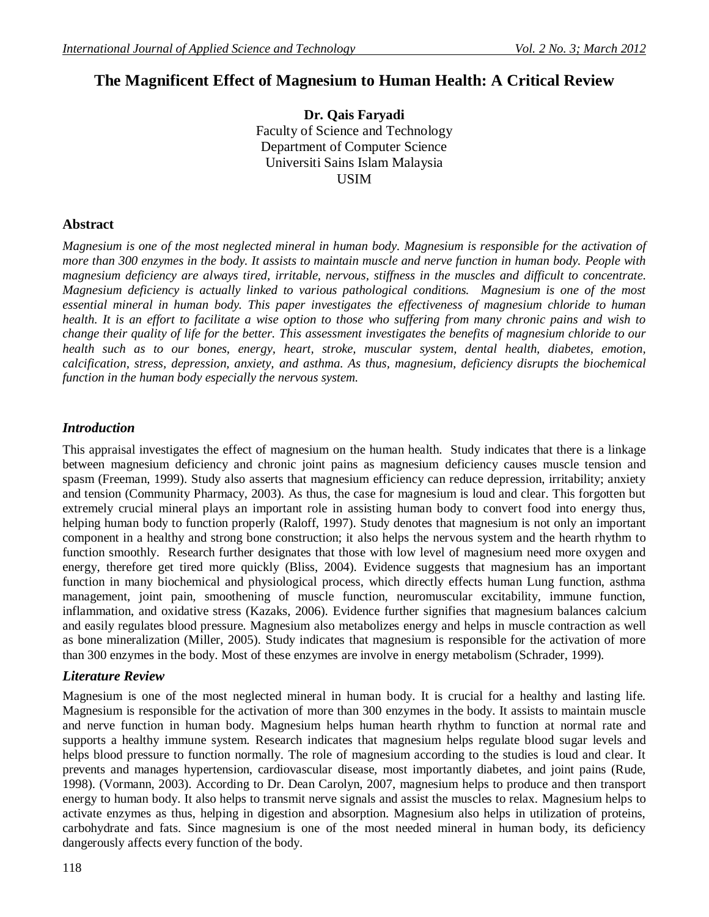# **The Magnificent Effect of Magnesium to Human Health: A Critical Review**

**Dr. Qais Faryadi** Faculty of Science and Technology Department of Computer Science Universiti Sains Islam Malaysia USIM

## **Abstract**

*Magnesium is one of the most neglected mineral in human body. Magnesium is responsible for the activation of more than 300 enzymes in the body. It assists to maintain muscle and nerve function in human body. People with magnesium deficiency are always tired, irritable, nervous, stiffness in the muscles and difficult to concentrate. Magnesium deficiency is actually linked to various pathological conditions. Magnesium is one of the most essential mineral in human body. This paper investigates the effectiveness of magnesium chloride to human health. It is an effort to facilitate a wise option to those who suffering from many chronic pains and wish to change their quality of life for the better. This assessment investigates the benefits of magnesium chloride to our health such as to our bones, energy, heart, stroke, muscular system, dental health, diabetes, emotion, calcification, stress, depression, anxiety, and asthma. As thus, magnesium, deficiency disrupts the biochemical function in the human body especially the nervous system.*

## *Introduction*

This appraisal investigates the effect of magnesium on the human health. Study indicates that there is a linkage between magnesium deficiency and chronic joint pains as magnesium deficiency causes muscle tension and spasm (Freeman, 1999). Study also asserts that magnesium efficiency can reduce depression, irritability; anxiety and tension (Community Pharmacy, 2003). As thus, the case for magnesium is loud and clear. This forgotten but extremely crucial mineral plays an important role in assisting human body to convert food into energy thus, helping human body to function properly (Raloff, 1997). Study denotes that magnesium is not only an important component in a healthy and strong bone construction; it also helps the nervous system and the hearth rhythm to function smoothly. Research further designates that those with low level of magnesium need more oxygen and energy, therefore get tired more quickly (Bliss, 2004). Evidence suggests that magnesium has an important function in many biochemical and physiological process, which directly effects human Lung function, asthma management, joint pain, smoothening of muscle function, neuromuscular excitability, immune function, inflammation, and oxidative stress (Kazaks, 2006). Evidence further signifies that magnesium balances calcium and easily regulates blood pressure. Magnesium also metabolizes energy and helps in muscle contraction as well as bone mineralization (Miller, 2005). Study indicates that magnesium is responsible for the activation of more than 300 enzymes in the body. Most of these enzymes are involve in energy metabolism (Schrader, 1999).

## *Literature Review*

Magnesium is one of the most neglected mineral in human body. It is crucial for a healthy and lasting life. Magnesium is responsible for the activation of more than 300 enzymes in the body. It assists to maintain muscle and nerve function in human body. Magnesium helps human hearth rhythm to function at normal rate and supports a healthy immune system. Research indicates that magnesium helps regulate blood sugar levels and helps blood pressure to function normally. The role of magnesium according to the studies is loud and clear. It prevents and manages hypertension, cardiovascular disease, most importantly diabetes, and joint pains (Rude, 1998). (Vormann, 2003). According to Dr. Dean Carolyn, 2007, magnesium helps to produce and then transport energy to human body. It also helps to transmit nerve signals and assist the muscles to relax. Magnesium helps to activate enzymes as thus, helping in digestion and absorption. Magnesium also helps in utilization of proteins, carbohydrate and fats. Since magnesium is one of the most needed mineral in human body, its deficiency dangerously affects every function of the body.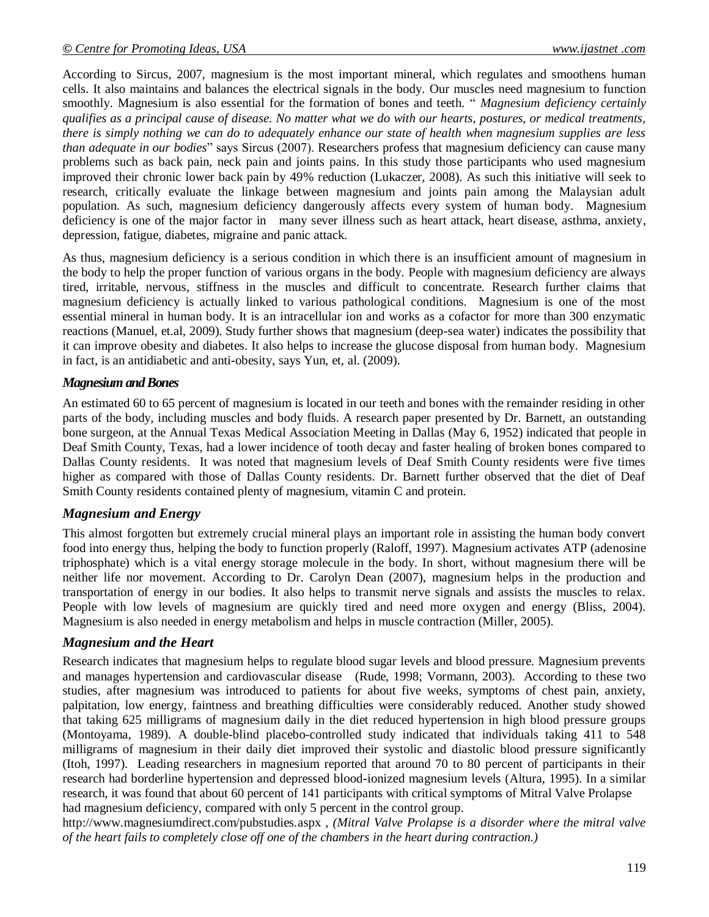According to Sircus, 2007, magnesium is the most important mineral, which regulates and smoothens human cells. It also maintains and balances the electrical signals in the body. Our muscles need magnesium to function smoothly. Magnesium is also essential for the formation of bones and teeth. " *Magnesium deficiency certainly qualifies as a principal cause of disease. No matter what we do with our hearts, postures, or medical treatments, there is simply nothing we can do to adequately enhance our state of health when magnesium supplies are less than adequate in our bodies*" says Sircus (2007). Researchers profess that magnesium deficiency can cause many problems such as back pain, neck pain and joints pains. In this study those participants who used magnesium improved their chronic lower back pain by 49% reduction (Lukaczer, 2008). As such this initiative will seek to research, critically evaluate the linkage between magnesium and joints pain among the Malaysian adult population. As such, magnesium deficiency dangerously affects every system of human body. Magnesium deficiency is one of the major factor in many sever illness such as heart attack, heart disease, asthma, anxiety, depression, fatigue, diabetes, migraine and panic attack.

As thus, magnesium deficiency is a serious condition in which there is an insufficient amount of magnesium in the body to help the proper function of various organs in the body. People with magnesium deficiency are always tired, irritable, nervous, stiffness in the muscles and difficult to concentrate. Research further claims that magnesium deficiency is actually linked to various pathological conditions. Magnesium is one of the most essential mineral in human body. It is an intracellular ion and works as a cofactor for more than 300 enzymatic reactions (Manuel, et.al, 2009). Study further shows that magnesium (deep-sea water) indicates the possibility that it can improve obesity and diabetes. It also helps to increase the glucose disposal from human body. Magnesium in fact, is an antidiabetic and anti-obesity, says Yun, et, al. (2009).

#### *Magnesium and Bones*

An estimated 60 to 65 percent of magnesium is located in our teeth and bones with the remainder residing in other parts of the body, including muscles and body fluids. A research paper presented by Dr. Barnett, an outstanding bone surgeon, at the Annual Texas Medical Association Meeting in Dallas (May 6, 1952) indicated that people in Deaf Smith County, Texas, had a lower incidence of tooth decay and faster healing of broken bones compared to Dallas County residents. It was noted that magnesium levels of Deaf Smith County residents were five times higher as compared with those of Dallas County residents. Dr. Barnett further observed that the diet of Deaf Smith County residents contained plenty of magnesium, vitamin C and protein.

## *Magnesium and Energy*

This almost forgotten but extremely crucial mineral plays an important role in assisting the human body convert food into energy thus, helping the body to function properly (Raloff, 1997). Magnesium activates ATP (adenosine triphosphate) which is a vital energy storage molecule in the body. In short, without magnesium there will be neither life nor movement. According to Dr. Carolyn Dean (2007), magnesium helps in the production and transportation of energy in our bodies. It also helps to transmit nerve signals and assists the muscles to relax. People with low levels of magnesium are quickly tired and need more oxygen and energy (Bliss, 2004). Magnesium is also needed in energy metabolism and helps in muscle contraction (Miller, 2005).

## *Magnesium and the Heart*

Research indicates that magnesium helps to regulate blood sugar levels and blood pressure. Magnesium prevents and manages hypertension and cardiovascular disease (Rude, 1998; Vormann, 2003). According to these two studies, after magnesium was introduced to patients for about five weeks, symptoms of chest pain, anxiety, palpitation, low energy, faintness and breathing difficulties were considerably reduced. Another study showed that taking 625 milligrams of magnesium daily in the diet reduced hypertension in high blood pressure groups (Montoyama, 1989). A double-blind placebo-controlled study indicated that individuals taking 411 to 548 milligrams of magnesium in their daily diet improved their systolic and diastolic blood pressure significantly (Itoh, 1997). Leading researchers in magnesium reported that around 70 to 80 percent of participants in their research had borderline hypertension and depressed blood-ionized magnesium levels (Altura, 1995). In a similar research, it was found that about 60 percent of 141 participants with critical symptoms of Mitral Valve Prolapse had magnesium deficiency, compared with only 5 percent in the control group.

[ht](h)tp://www.magnesiumdirect.com/pubstudies.aspx , *(Mitral Valve Prolapse is a disorder where the mitral valve of the heart fails to completely close off one of the chambers in the heart during contraction.)*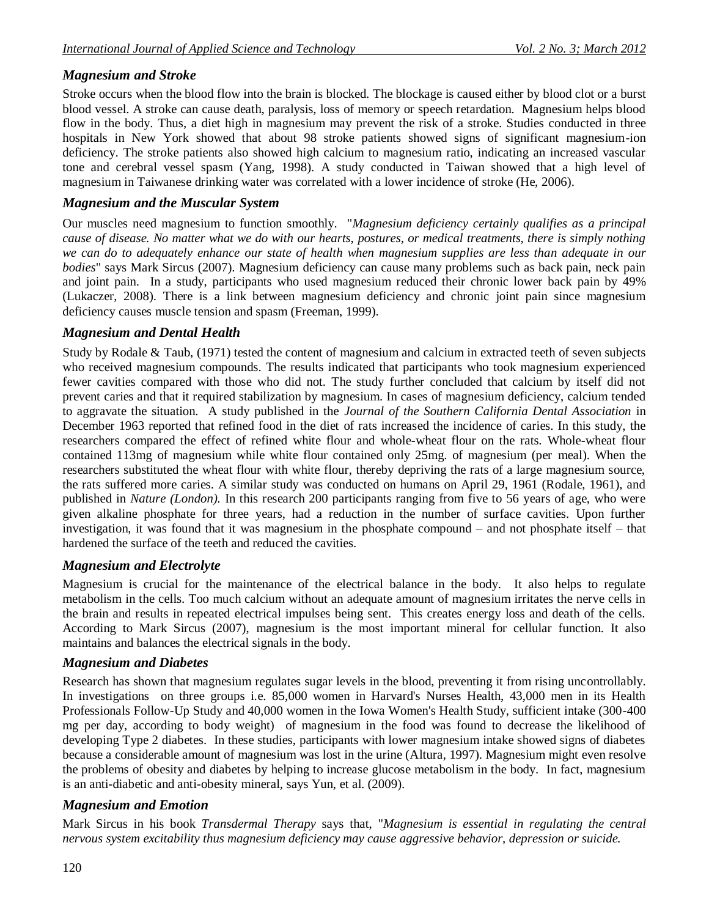# *Magnesium and Stroke*

Stroke occurs when the blood flow into the brain is blocked. The blockage is caused either by blood clot or a burst blood vessel. A stroke can cause death, paralysis, loss of memory or speech retardation. Magnesium helps blood flow in the body. Thus, a diet high in magnesium may prevent the risk of a stroke. Studies conducted in three hospitals in New York showed that about 98 stroke patients showed signs of significant magnesium-ion deficiency. The stroke patients also showed high calcium to magnesium ratio, indicating an increased vascular tone and cerebral vessel spasm (Yang, 1998). A study conducted in Taiwan showed that a high level of magnesium in Taiwanese drinking water was correlated with a lower incidence of stroke (He, 2006).

# *Magnesium and the Muscular System*

Our muscles need magnesium to function smoothly. "*Magnesium deficiency certainly qualifies as a principal cause of disease. No matter what we do with our hearts, postures, or medical treatments, there is simply nothing we can do to adequately enhance our state of health when magnesium supplies are less than adequate in our bodies*" says Mark Sircus (2007). Magnesium deficiency can cause many problems such as back pain, neck pain and joint pain. In a study, participants who used magnesium reduced their chronic lower back pain by 49% (Lukaczer, 2008). There is a link between magnesium deficiency and chronic joint pain since magnesium deficiency causes muscle tension and spasm (Freeman, 1999).

## *Magnesium and Dental Health*

Study by Rodale & Taub, (1971) tested the content of magnesium and calcium in extracted teeth of seven subjects who received magnesium compounds. The results indicated that participants who took magnesium experienced fewer cavities compared with those who did not. The study further concluded that calcium by itself did not prevent caries and that it required stabilization by magnesium. In cases of magnesium deficiency, calcium tended to aggravate the situation. A study published in the *Journal of the Southern California Dental Association* in December 1963 reported that refined food in the diet of rats increased the incidence of caries. In this study, the researchers compared the effect of refined white flour and whole-wheat flour on the rats. Whole-wheat flour contained 113mg of magnesium while white flour contained only 25mg. of magnesium (per meal). When the researchers substituted the wheat flour with white flour, thereby depriving the rats of a large magnesium source, the rats suffered more caries. A similar study was conducted on humans on April 29, 1961 (Rodale, 1961), and published in *Nature (London).* In this research 200 participants ranging from five to 56 years of age, who were given alkaline phosphate for three years, had a reduction in the number of surface cavities. Upon further investigation, it was found that it was magnesium in the phosphate compound – and not phosphate itself – that hardened the surface of the teeth and reduced the cavities.

## *Magnesium and Electrolyte*

Magnesium is crucial for the maintenance of the electrical balance in the body. It also helps to regulate metabolism in the cells. Too much calcium without an adequate amount of magnesium irritates the nerve cells in the brain and results in repeated electrical impulses being sent. This creates energy loss and death of the cells. According to Mark Sircus (2007), magnesium is the most important mineral for cellular function. It also maintains and balances the electrical signals in the body.

## *Magnesium and Diabetes*

Research has shown that magnesium regulates sugar levels in the blood, preventing it from rising uncontrollably. In investigations on three groups i.e. 85,000 women in Harvard's Nurses Health, 43,000 men in its Health Professionals Follow-Up Study and 40,000 women in the Iowa Women's Health Study, sufficient intake (300-400 mg per day, according to body weight) of magnesium in the food was found to decrease the likelihood of developing Type 2 diabetes. In these studies, participants with lower magnesium intake showed signs of diabetes because a considerable amount of magnesium was lost in the urine (Altura, 1997). Magnesium might even resolve the problems of obesity and diabetes by helping to increase glucose metabolism in the body. In fact, magnesium is an anti-diabetic and anti-obesity mineral, says Yun, et al. (2009).

## *Magnesium and Emotion*

Mark Sircus in his book *Transdermal Therapy* says that, "*Magnesium is essential in regulating the central nervous system excitability thus magnesium deficiency may cause aggressive behavior, depression or suicide.*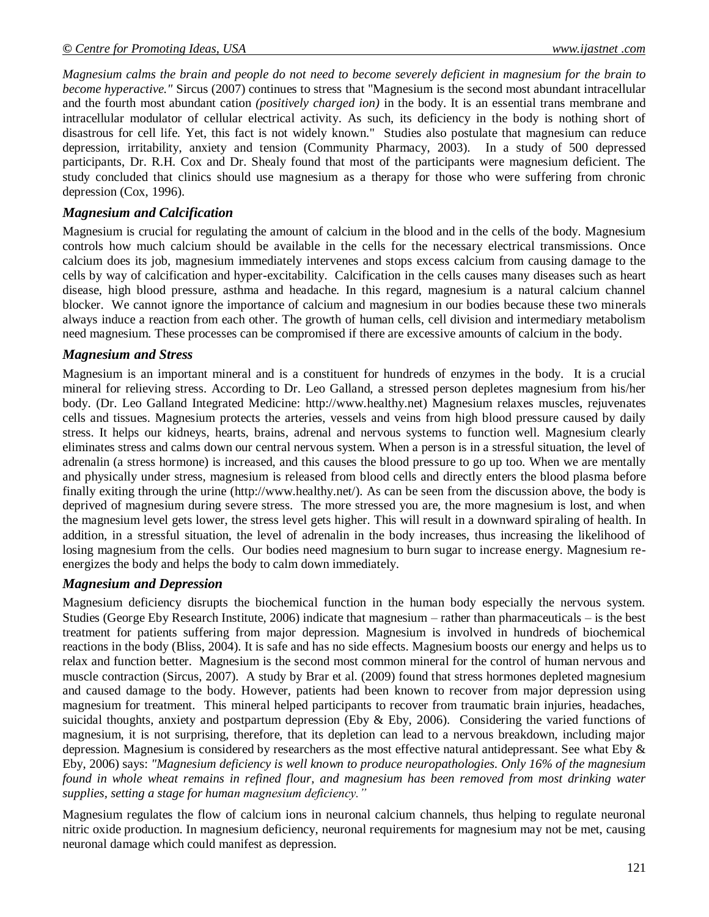*Magnesium calms the brain and people do not need to become severely deficient in magnesium for the brain to become hyperactive."* Sircus (2007) continues to stress that "Magnesium is the second most abundant intracellular and the fourth most abundant cation *(positively charged ion)* in the body. It is an essential trans membrane and intracellular modulator of cellular electrical activity. As such, its deficiency in the body is nothing short of disastrous for cell life. Yet, this fact is not widely known." Studies also postulate that magnesium can reduce depression, irritability, anxiety and tension (Community Pharmacy, 2003). In a study of 500 depressed participants, Dr. R.H. Cox and Dr. Shealy found that most of the participants were magnesium deficient. The study concluded that clinics should use magnesium as a therapy for those who were suffering from chronic depression (Cox, 1996).

## *Magnesium and Calcification*

Magnesium is crucial for regulating the amount of calcium in the blood and in the cells of the body. Magnesium controls how much calcium should be available in the cells for the necessary electrical transmissions. Once calcium does its job, magnesium immediately intervenes and stops excess calcium from causing damage to the cells by way of calcification and hyper-excitability. Calcification in the cells causes many diseases such as heart disease, high blood pressure, asthma and headache. In this regard, magnesium is a natural calcium channel blocker. We cannot ignore the importance of calcium and magnesium in our bodies because these two minerals always induce a reaction from each other. The growth of human cells, cell division and intermediary metabolism need magnesium. These processes can be compromised if there are excessive amounts of calcium in the body.

## *Magnesium and Stress*

Magnesium is an important mineral and is a constituent for hundreds of enzymes in the body. It is a crucial mineral for relieving stress. According to Dr. Leo Galland, a stressed person depletes magnesium from his/her body. (Dr. Leo Galland Integrated Medicine: [http://www.healthy.net\)](http://www.healthy.net/) Magnesium relaxes muscles, rejuvenates cells and tissues. Magnesium protects the arteries, vessels and veins from high blood pressure caused by daily stress. It helps our kidneys, hearts, brains, adrenal and nervous systems to function well. Magnesium clearly eliminates stress and calms down our central nervous system. When a person is in a stressful situation, the level of adrenalin (a stress hormone) is increased, and this causes the blood pressure to go up too. When we are mentally and physically under stress, magnesium is released from blood cells and directly enters the blood plasma before finally exiting through the urine [\(http://www.healthy.net/\)](http://www.healthy.net/). As can be seen from the discussion above, the body is deprived of magnesium during severe stress. The more stressed you are, the more magnesium is lost, and when the magnesium level gets lower, the stress level gets higher. This will result in a downward spiraling of health. In addition, in a stressful situation, the level of adrenalin in the body increases, thus increasing the likelihood of losing magnesium from the cells. Our bodies need magnesium to burn sugar to increase energy. Magnesium reenergizes the body and helps the body to calm down immediately.

## *Magnesium and Depression*

Magnesium deficiency disrupts the biochemical function in the human body especially the nervous system. Studies (George Eby Research Institute, 2006) indicate that magnesium – rather than pharmaceuticals – is the best treatment for patients suffering from major depression. Magnesium is involved in hundreds of biochemical reactions in the body (Bliss, 2004). It is safe and has no side effects. Magnesium boosts our energy and helps us to relax and function better. Magnesium is the second most common mineral for the control of human nervous and muscle contraction (Sircus, 2007). A study by Brar et al. (2009) found that stress hormones depleted magnesium and caused damage to the body. However, patients had been known to recover from major depression using magnesium for treatment. This mineral helped participants to recover from traumatic brain injuries, headaches, suicidal thoughts, anxiety and postpartum depression (Eby & Eby, 2006). Considering the varied functions of magnesium, it is not surprising, therefore, that its depletion can lead to a nervous breakdown, including major depression. Magnesium is considered by researchers as the most effective natural antidepressant. See what Eby & Eby, 2006) says: *"Magnesium deficiency is well known to produce neuropathologies. Only 16% of the magnesium found in whole wheat remains in refined flour, and magnesium has been removed from most drinking water supplies, setting a stage for human magnesium deficiency."* 

Magnesium regulates the flow of calcium ions in neuronal calcium channels, thus helping to regulate neuronal nitric oxide production. In magnesium deficiency, neuronal requirements for magnesium may not be met, causing neuronal damage which could manifest as depression.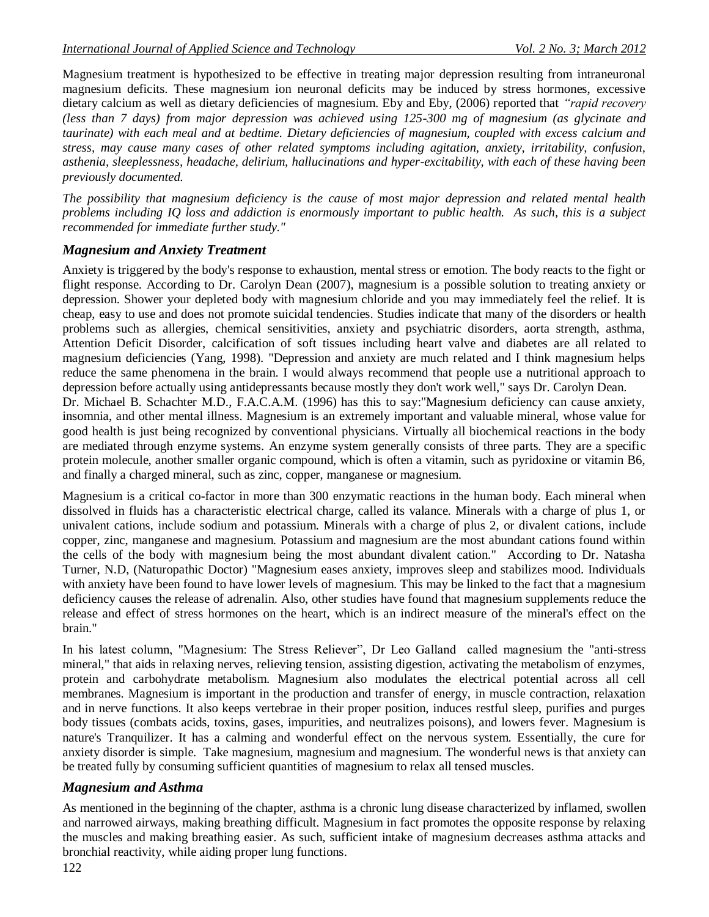Magnesium treatment is hypothesized to be effective in treating major depression resulting from intraneuronal magnesium deficits. These magnesium ion neuronal deficits may be induced by stress hormones, excessive dietary calcium as well as dietary deficiencies of magnesium. Eby and Eby, (2006) reported that *"rapid recovery (less than 7 days) from major depression was achieved using 125-300 mg of magnesium (as glycinate and taurinate) with each meal and at bedtime. Dietary deficiencies of magnesium, coupled with excess calcium and stress, may cause many cases of other related symptoms including agitation, anxiety, irritability, confusion, asthenia, sleeplessness, headache, delirium, hallucinations and hyper-excitability, with each of these having been previously documented.* 

*The possibility that magnesium deficiency is the cause of most major depression and related mental health problems including IQ loss and addiction is enormously important to public health. As such, this is a subject recommended for immediate further study."*

## *Magnesium and Anxiety Treatment*

Anxiety is triggered by the body's response to exhaustion, mental stress or emotion. The body reacts to the fight or flight response. According to Dr. Carolyn Dean (2007), magnesium is a possible solution to treating anxiety or depression. Shower your depleted body with magnesium chloride and you may immediately feel the relief. It is cheap, easy to use and does not promote suicidal tendencies. Studies indicate that many of the disorders or health problems such as allergies, chemical sensitivities, anxiety and psychiatric disorders, aorta strength, asthma, Attention Deficit Disorder, calcification of soft tissues including heart valve and diabetes are all related to magnesium deficiencies (Yang, 1998). "Depression and anxiety are much related and I think magnesium helps reduce the same phenomena in the brain. I would always recommend that people use a nutritional approach to depression before actually using antidepressants because mostly they don't work well," says Dr. Carolyn Dean. Dr. Michael B. Schachter M.D., F.A.C.A.M. (1996) has this to say:"Magnesium deficiency can cause anxiety, insomnia, and other mental illness. Magnesium is an extremely important and valuable mineral, whose value for

good health is just being recognized by conventional physicians. Virtually all biochemical reactions in the body are mediated through enzyme systems. An enzyme system generally consists of three parts. They are a specific protein molecule, another smaller organic compound, which is often a vitamin, such as pyridoxine or vitamin B6, and finally a charged mineral, such as zinc, copper, manganese or magnesium.

Magnesium is a critical co-factor in more than 300 enzymatic reactions in the human body. Each mineral when dissolved in fluids has a characteristic electrical charge, called its valance. Minerals with a charge of plus 1, or univalent cations, include sodium and potassium. Minerals with a charge of plus 2, or divalent cations, include copper, zinc, manganese and magnesium. Potassium and magnesium are the most abundant cations found within the cells of the body with magnesium being the most abundant divalent cation." According to Dr. Natasha Turner, N.D, (Naturopathic Doctor) "Magnesium eases anxiety, improves sleep and stabilizes mood. Individuals with anxiety have been found to have lower levels of magnesium. This may be linked to the fact that a magnesium deficiency causes the release of adrenalin. Also, other studies have found that magnesium supplements reduce the release and effect of stress hormones on the heart, which is an indirect measure of the mineral's effect on the brain."

In his latest column, "Magnesium: The Stress Reliever", Dr Leo Galland called magnesium the "anti-stress mineral," that aids in relaxing nerves, relieving tension, assisting digestion, activating the metabolism of enzymes, protein and carbohydrate metabolism. Magnesium also modulates the electrical potential across all cell membranes. Magnesium is important in the production and transfer of energy, in muscle contraction, relaxation and in nerve functions. It also keeps vertebrae in their proper position, induces restful sleep, purifies and purges body tissues (combats acids, toxins, gases, impurities, and neutralizes poisons), and lowers fever. Magnesium is nature's Tranquilizer. It has a calming and wonderful effect on the nervous system. Essentially, the cure for anxiety disorder is simple. Take magnesium, magnesium and magnesium. The wonderful news is that anxiety can be treated fully by consuming sufficient quantities of magnesium to relax all tensed muscles.

## *Magnesium and Asthma*

As mentioned in the beginning of the chapter, asthma is a chronic lung disease characterized by inflamed, swollen and narrowed airways, making breathing difficult. Magnesium in fact promotes the opposite response by relaxing the muscles and making breathing easier. As such, sufficient intake of magnesium decreases asthma attacks and bronchial reactivity, while aiding proper lung functions.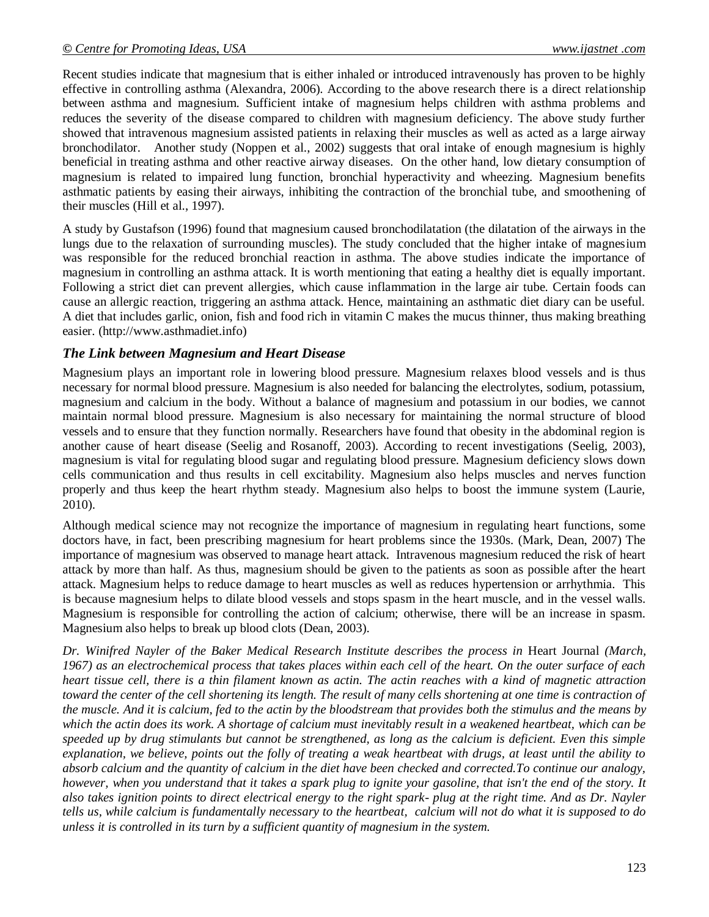Recent studies indicate that magnesium that is either inhaled or introduced intravenously has proven to be highly effective in controlling asthma (Alexandra, 2006). According to the above research there is a direct relationship between asthma and magnesium. Sufficient intake of magnesium helps children with asthma problems and reduces the severity of the disease compared to children with magnesium deficiency. The above study further showed that intravenous magnesium assisted patients in relaxing their muscles as well as acted as a large airway bronchodilator. Another study (Noppen et al., 2002) suggests that oral intake of enough magnesium is highly beneficial in treating asthma and other reactive airway diseases. On the other hand, low dietary consumption of magnesium is related to impaired lung function, bronchial hyperactivity and wheezing. Magnesium benefits asthmatic patients by easing their airways, inhibiting the contraction of the bronchial tube, and smoothening of their muscles (Hill et al., 1997).

A study by Gustafson (1996) found that magnesium caused bronchodilatation (the dilatation of the airways in the lungs due to the relaxation of surrounding muscles). The study concluded that the higher intake of magnesium was responsible for the reduced bronchial reaction in asthma. The above studies indicate the importance of magnesium in controlling an asthma attack. It is worth mentioning that eating a healthy diet is equally important. Following a strict diet can prevent allergies, which cause inflammation in the large air tube. Certain foods can cause an allergic reaction, triggering an asthma attack. Hence, maintaining an asthmatic diet diary can be useful. A diet that includes garlic, onion, fish and food rich in vitamin C makes the mucus thinner, thus making breathing easier. [\(http://www.asthmadiet.info\)](http://www.asthmadiet.info/)

## *The Link between Magnesium and Heart Disease*

Magnesium plays an important role in lowering blood pressure. Magnesium relaxes blood vessels and is thus necessary for normal blood pressure. Magnesium is also needed for balancing the electrolytes, sodium, potassium, magnesium and calcium in the body. Without a balance of magnesium and potassium in our bodies, we cannot maintain normal blood pressure. Magnesium is also necessary for maintaining the normal structure of blood vessels and to ensure that they function normally. Researchers have found that obesity in the abdominal region is another cause of heart disease (Seelig and Rosanoff, 2003). According to recent investigations (Seelig, 2003), magnesium is vital for regulating blood sugar and regulating blood pressure. Magnesium deficiency slows down cells communication and thus results in cell excitability. Magnesium also helps muscles and nerves function properly and thus keep the heart rhythm steady. Magnesium also helps to boost the immune system (Laurie, 2010).

Although medical science may not recognize the importance of magnesium in regulating heart functions, some doctors have, in fact, been prescribing magnesium for heart problems since the 1930s. (Mark, Dean, 2007) The importance of magnesium was observed to manage heart attack. Intravenous magnesium reduced the risk of heart attack by more than half. As thus, magnesium should be given to the patients as soon as possible after the heart attack. Magnesium helps to reduce damage to heart muscles as well as reduces hypertension or arrhythmia. This is because magnesium helps to dilate blood vessels and stops spasm in the heart muscle, and in the vessel walls. Magnesium is responsible for controlling the action of calcium; otherwise, there will be an increase in spasm. Magnesium also helps to break up blood clots (Dean, 2003).

*Dr. Winifred Nayler of the Baker Medical Research Institute describes the process in Heart Journal (March, 1967) as an electrochemical process that takes places within each cell of the heart. On the outer surface of each heart tissue cell, there is a thin filament known as actin. The actin reaches with a kind of magnetic attraction toward the center of the cell shortening its length. The result of many cells shortening at one time is contraction of the muscle. And it is calcium, fed to the actin by the bloodstream that provides both the stimulus and the means by which the actin does its work. A shortage of calcium must inevitably result in a weakened heartbeat, which can be speeded up by drug stimulants but cannot be strengthened, as long as the calcium is deficient. Even this simple explanation, we believe, points out the folly of treating a weak heartbeat with drugs, at least until the ability to absorb calcium and the quantity of calcium in the diet have been checked and corrected.To continue our analogy, however, when you understand that it takes a spark plug to ignite your gasoline, that isn't the end of the story. It also takes ignition points to direct electrical energy to the right spark- plug at the right time. And as Dr. Nayler tells us, while calcium is fundamentally necessary to the heartbeat, calcium will not do what it is supposed to do unless it is controlled in its turn by a sufficient quantity of magnesium in the system.*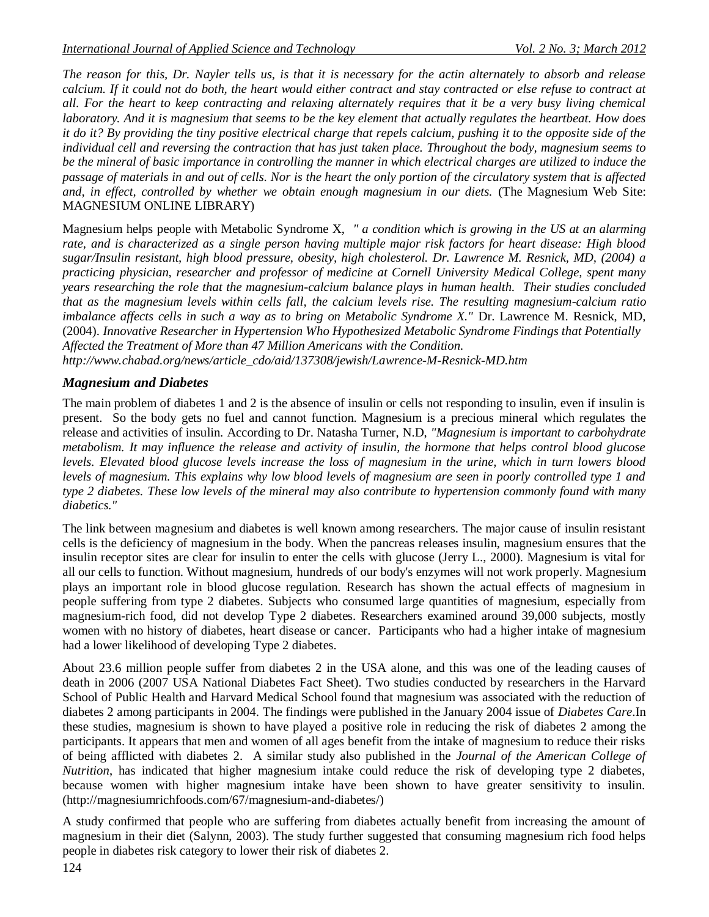*The reason for this, Dr. Nayler tells us, is that it is necessary for the actin alternately to absorb and release calcium. If it could not do both, the heart would either contract and stay contracted or else refuse to contract at all. For the heart to keep contracting and relaxing alternately requires that it be a very busy living chemical laboratory. And it is magnesium that seems to be the key element that actually regulates the heartbeat. How does it do it? By providing the tiny positive electrical charge that repels calcium, pushing it to the opposite side of the individual cell and reversing the contraction that has just taken place. Throughout the body, magnesium seems to be the mineral of basic importance in controlling the manner in which electrical charges are utilized to induce the passage of materials in and out of cells. Nor is the heart the only portion of the circulatory system that is affected and, in effect, controlled by whether we obtain enough magnesium in our diets.* (The Magnesium Web Site: MAGNESIUM ONLINE LIBRARY)

Magnesium helps people with Metabolic Syndrome X, *" a condition which is growing in the US at an alarming rate, and is characterized as a single person having multiple major risk factors for heart disease: High blood sugar/Insulin resistant, high blood pressure, obesity, high cholesterol. Dr. Lawrence M. Resnick, MD, (2004) a practicing physician, researcher and professor of medicine at Cornell University Medical College, spent many years researching the role that the magnesium-calcium balance plays in human health. Their studies concluded that as the magnesium levels within cells fall, the calcium levels rise. The resulting magnesium-calcium ratio imbalance affects cells in such a way as to bring on Metabolic Syndrome X."* Dr. Lawrence M. Resnick, MD, (2004). *Innovative Researcher in Hypertension Who Hypothesized Metabolic Syndrome Findings that Potentially Affected the Treatment of More than 47 Million Americans with the Condition.* 

*[http://www.chabad.org/news/article\\_cdo/aid/137308/jewish/Lawrence-M-Resnick-MD.htm](http://www.chabad.org/news/article_cdo/aid/137308/jewish/Lawrence-M-Resnick-MD.htm)*

## *Magnesium and Diabetes*

The main problem of diabetes 1 and 2 is the absence of insulin or cells not responding to insulin, even if insulin is present. So the body gets no fuel and cannot function. Magnesium is a precious mineral which regulates the release and activities of insulin. According to Dr. Natasha Turner, N.D, *"Magnesium is important to carbohydrate metabolism. It may influence the release and activity of insulin, the hormone that helps control blood glucose levels. Elevated blood glucose levels increase the loss of magnesium in the urine, which in turn lowers blood levels of magnesium. This explains why low blood levels of magnesium are seen in poorly controlled type 1 and type 2 diabetes. These low levels of the mineral may also contribute to hypertension commonly found with many diabetics."*

The link between magnesium and diabetes is well known among researchers. The major cause of insulin resistant cells is the deficiency of magnesium in the body. When the pancreas releases insulin, magnesium ensures that the insulin receptor sites are clear for insulin to enter the cells with glucose (Jerry L., 2000). Magnesium is vital for all our cells to function. Without magnesium, hundreds of our body's enzymes will not work properly. Magnesium plays an important role in blood glucose regulation. Research has shown the actual effects of magnesium in people suffering from type 2 diabetes. Subjects who consumed large quantities of magnesium, especially from magnesium-rich food, did not develop Type 2 diabetes. Researchers examined around 39,000 subjects, mostly women with no history of diabetes, heart disease or cancer. Participants who had a higher intake of magnesium had a lower likelihood of developing Type 2 diabetes.

About 23.6 million people suffer from diabetes 2 in the USA alone, and this was one of the leading causes of death in 2006 (2007 USA National Diabetes Fact Sheet). Two studies conducted by researchers in the Harvard School of Public Health and Harvard Medical School found that magnesium was associated with the reduction of diabetes 2 among participants in 2004. The findings were published in the January 2004 issue of *Diabetes Care*.In these studies, magnesium is shown to have played a positive role in reducing the risk of diabetes 2 among the participants. It appears that men and women of all ages benefit from the intake of magnesium to reduce their risks of being afflicted with diabetes 2. A similar study also published in the *Journal of the American College of Nutrition*, has indicated that higher magnesium intake could reduce the risk of developing type 2 diabetes, because women with higher magnesium intake have been shown to have greater sensitivity to insulin. [\(http://magnesiumrichfoods.com/67/magnesium-and-diabetes/\)](http://magnesiumrichfoods.com/67/magnesium-and-diabetes/)

A study confirmed that people who are suffering from diabetes actually benefit from increasing the amount of magnesium in their diet (Salynn, 2003). The study further suggested that consuming magnesium rich food helps people in diabetes risk category to lower their risk of diabetes 2.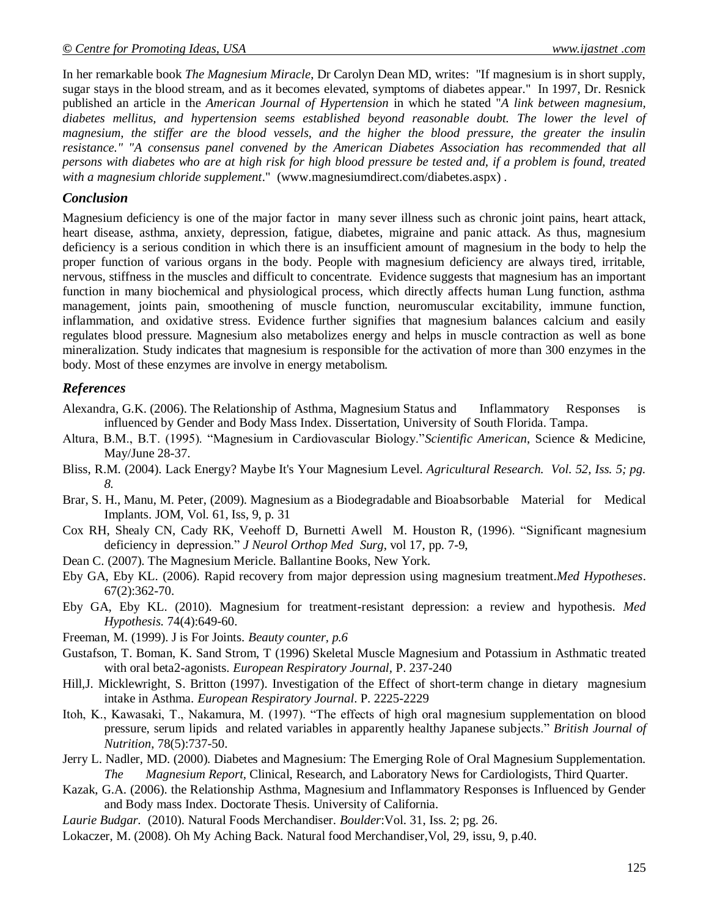In her remarkable book *The Magnesium Miracle*, Dr Carolyn Dean MD, writes: "If magnesium is in short supply, sugar stays in the blood stream, and as it becomes elevated, symptoms of diabetes appear." In 1997, Dr. Resnick published an article in the *American Journal of Hypertension* in which he stated "*A link between magnesium, diabetes mellitus, and hypertension seems established beyond reasonable doubt. The lower the level of magnesium, the stiffer are the blood vessels, and the higher the blood pressure, the greater the insulin resistance." "A consensus panel convened by the American Diabetes Association has recommended that all persons with diabetes who are at high risk for high blood pressure be tested and, if a problem is found, treated with a magnesium chloride supplement*." [\(www.magnesiumdirect.com/diabetes.aspx\)](http://www.magnesiumdirect.com/diabetes.aspx) .

#### *Conclusion*

Magnesium deficiency is one of the major factor in many sever illness such as chronic joint pains, heart attack, heart disease, asthma, anxiety, depression, fatigue, diabetes, migraine and panic attack. As thus, magnesium deficiency is a serious condition in which there is an insufficient amount of magnesium in the body to help the proper function of various organs in the body. People with magnesium deficiency are always tired, irritable, nervous, stiffness in the muscles and difficult to concentrate. Evidence suggests that magnesium has an important function in many biochemical and physiological process, which directly affects human Lung function, asthma management, joints pain, smoothening of muscle function, neuromuscular excitability, immune function, inflammation, and oxidative stress. Evidence further signifies that magnesium balances calcium and easily regulates blood pressure. Magnesium also metabolizes energy and helps in muscle contraction as well as bone mineralization. Study indicates that magnesium is responsible for the activation of more than 300 enzymes in the body. Most of these enzymes are involve in energy metabolism.

#### *References*

- Alexandra, G.K. (2006). The Relationship of Asthma, Magnesium Status and Inflammatory Responses is influenced by Gender and Body Mass Index. Dissertation, University of South Florida. Tampa.
- Altura, B.M., B.T. (1995). "Magnesium in Cardiovascular Biology."*Scientific American*, Science & Medicine, May/June 28-37.
- Bliss, R.M. (2004). Lack Energy? Maybe It's Your Magnesium Level. *Agricultural Research. Vol. 52, Iss. 5; pg. 8.*
- Brar, S. H., Manu, M. Peter, (2009). Magnesium as a Biodegradable and Bioabsorbable Material for Medical Implants. JOM, Vol. 61, Iss, 9, p. 31
- Cox RH, Shealy CN, Cady RK, Veehoff D, Burnetti Awell M. Houston R, (1996). "Significant magnesium deficiency in depression." *J Neurol Orthop Med Surg*, vol 17, pp. 7-9,
- Dean C. (2007). The Magnesium Mericle. Ballantine Books, New York.
- Eby GA, Eby KL. (2006). Rapid recovery from major depression using magnesium treatment.*Med Hypotheses*. 67(2):362-70.
- Eby GA, Eby KL. (2010). Magnesium for treatment-resistant depression: a review and hypothesis. *Med Hypothesis.* 74(4):649-60.
- Freeman, M. (1999). J is For Joints. *Beauty counter, p.6*
- Gustafson, T. Boman, K. Sand Strom, T (1996) Skeletal Muscle Magnesium and Potassium in Asthmatic treated with oral beta2-agonists. *European Respiratory Journal,* P. 237-240
- Hill,J. Micklewright, S. Britton (1997). Investigation of the Effect of short-term change in dietary magnesium intake in Asthma. *European Respiratory Journal*. P. 2225-2229
- Itoh, K., Kawasaki, T., Nakamura, M. (1997). "The effects of high oral magnesium supplementation on blood pressure, serum lipids and related variables in apparently healthy Japanese subjects." *British Journal of Nutrition*, 78(5):737-50.
- Jerry L. Nadler, MD. (2000). Diabetes and Magnesium: The Emerging Role of Oral Magnesium Supplementation. *The Magnesium Report,* Clinical, Research, and Laboratory News for Cardiologists, Third Quarter.
- Kazak, G.A. (2006). the Relationship Asthma, Magnesium and Inflammatory Responses is Influenced by Gender and Body mass Index. Doctorate Thesis. University of California.
- *Laurie Budgar.* (2010). Natural Foods Merchandiser. *Boulder*:Vol. 31, Iss. 2; pg. 26.
- Lokaczer, M. (2008). Oh My Aching Back. Natural food Merchandiser, Vol, 29, issu, 9, p.40.